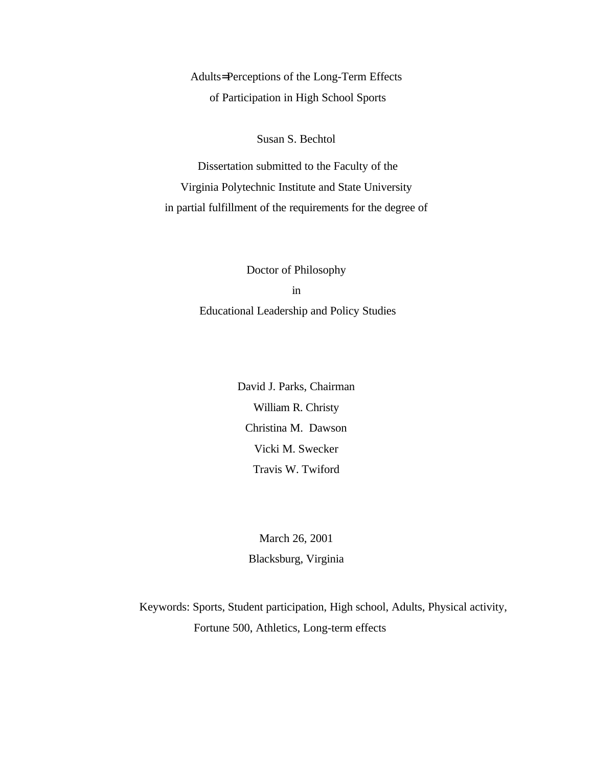<span id="page-0-0"></span>Adults= Perceptions of the Long-Term Effects of Participation in High School Sports

Susan S. Bechtol

 Dissertation submitted to the Faculty of the Virginia Polytechnic Institute and State University in partial fulfillment of the requirements for the degree of

> Doctor of Philosophy in Educational Leadership and Policy Studies

> > David J. Parks, Chairman William R. Christy Christina M. Dawson Vicki M. Swecker Travis W. Twiford

March 26, 2001 Blacksburg, Virginia

Keywords: Sports, Student participation, High school, Adults, Physical activity, Fortune 500, Athletics, Long-term effects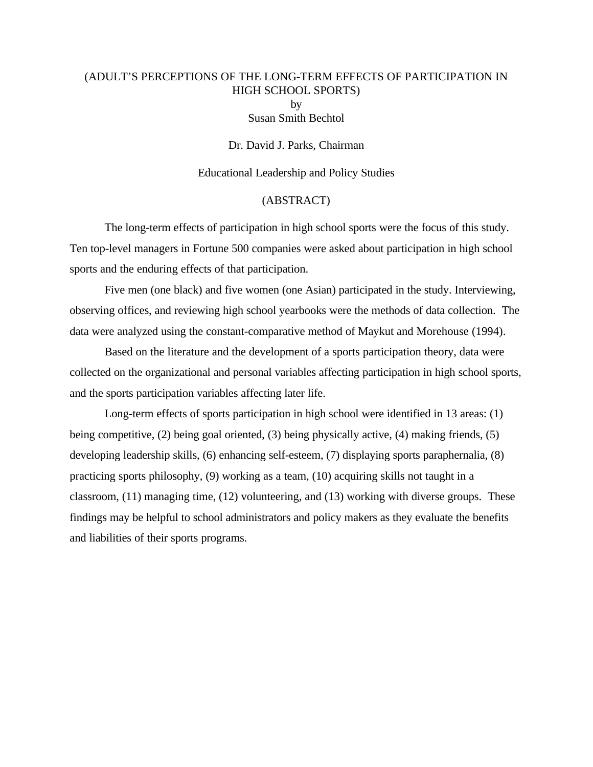# (ADULT'S PERCEPTIONS OF THE LONG-TERM EFFECTS OF PARTICIPATION IN HIGH SCHOOL SPORTS) by

Susan Smith Bechtol

Dr. David J. Parks, Chairman

#### Educational Leadership and Policy Studies

#### (ABSTRACT)

The long-term effects of participation in high school sports were the focus of this study. Ten top-level managers in Fortune 500 companies were asked about participation in high school sports and the enduring effects of that participation.

Five men (one black) and five women (one Asian) participated in the study. Interviewing, observing offices, and reviewing high school yearbooks were the methods of data collection. The data were analyzed using the constant-comparative method of Maykut and Morehouse (1994).

Based on the literature and the development of a sports participation theory, data were collected on the organizational and personal variables affecting participation in high school sports, and the sports participation variables affecting later life.

Long-term effects of sports participation in high school were identified in 13 areas: (1) being competitive, (2) being goal oriented, (3) being physically active, (4) making friends, (5) developing leadership skills, (6) enhancing self-esteem, (7) displaying sports paraphernalia, (8) practicing sports philosophy, (9) working as a team, (10) acquiring skills not taught in a classroom, (11) managing time, (12) volunteering, and (13) working with diverse groups. These findings may be helpful to school administrators and policy makers as they evaluate the benefits and liabilities of their sports programs.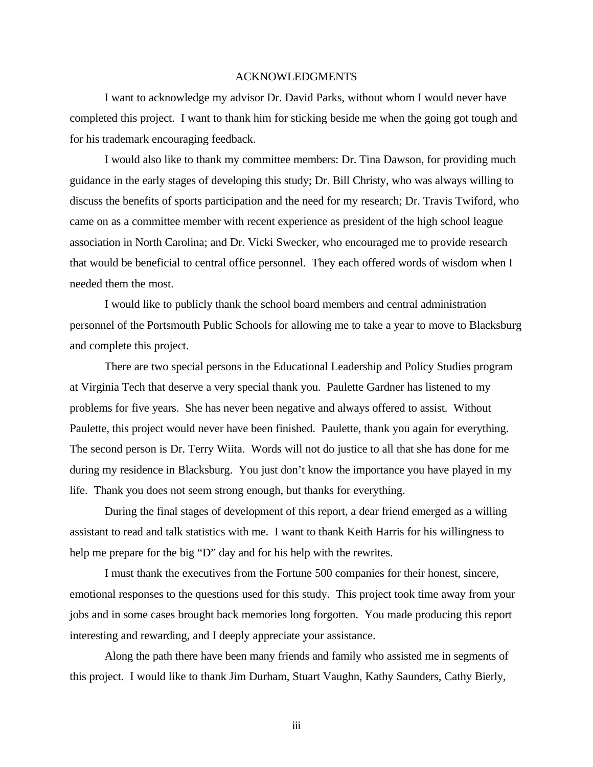#### ACKNOWLEDGMENTS

I want to acknowledge my advisor Dr. David Parks, without whom I would never have completed this project. I want to thank him for sticking beside me when the going got tough and for his trademark encouraging feedback.

I would also like to thank my committee members: Dr. Tina Dawson, for providing much guidance in the early stages of developing this study; Dr. Bill Christy, who was always willing to discuss the benefits of sports participation and the need for my research; Dr. Travis Twiford, who came on as a committee member with recent experience as president of the high school league association in North Carolina; and Dr. Vicki Swecker, who encouraged me to provide research that would be beneficial to central office personnel. They each offered words of wisdom when I needed them the most.

I would like to publicly thank the school board members and central administration personnel of the Portsmouth Public Schools for allowing me to take a year to move to Blacksburg and complete this project.

There are two special persons in the Educational Leadership and Policy Studies program at Virginia Tech that deserve a very special thank you. Paulette Gardner has listened to my problems for five years. She has never been negative and always offered to assist. Without Paulette, this project would never have been finished. Paulette, thank you again for everything. The second person is Dr. Terry Wiita. Words will not do justice to all that she has done for me during my residence in Blacksburg. You just don't know the importance you have played in my life. Thank you does not seem strong enough, but thanks for everything.

During the final stages of development of this report, a dear friend emerged as a willing assistant to read and talk statistics with me. I want to thank Keith Harris for his willingness to help me prepare for the big "D" day and for his help with the rewrites.

I must thank the executives from the Fortune 500 companies for their honest, sincere, emotional responses to the questions used for this study. This project took time away from your jobs and in some cases brought back memories long forgotten. You made producing this report interesting and rewarding, and I deeply appreciate your assistance.

Along the path there have been many friends and family who assisted me in segments of this project. I would like to thank Jim Durham, Stuart Vaughn, Kathy Saunders, Cathy Bierly,

iii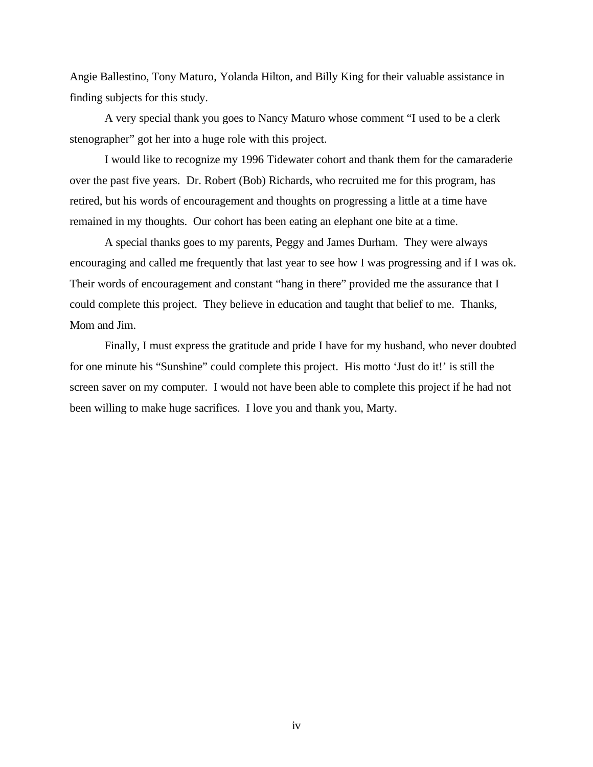Angie Ballestino, Tony Maturo, Yolanda Hilton, and Billy King for their valuable assistance in finding subjects for this study.

A very special thank you goes to Nancy Maturo whose comment "I used to be a clerk stenographer" got her into a huge role with this project.

I would like to recognize my 1996 Tidewater cohort and thank them for the camaraderie over the past five years. Dr. Robert (Bob) Richards, who recruited me for this program, has retired, but his words of encouragement and thoughts on progressing a little at a time have remained in my thoughts. Our cohort has been eating an elephant one bite at a time.

A special thanks goes to my parents, Peggy and James Durham. They were always encouraging and called me frequently that last year to see how I was progressing and if I was ok. Their words of encouragement and constant "hang in there" provided me the assurance that I could complete this project. They believe in education and taught that belief to me. Thanks, Mom and Jim.

Finally, I must express the gratitude and pride I have for my husband, who never doubted for one minute his "Sunshine" could complete this project. His motto 'Just do it!' is still the screen saver on my computer. I would not have been able to complete this project if he had not been willing to make huge sacrifices. I love you and thank you, Marty.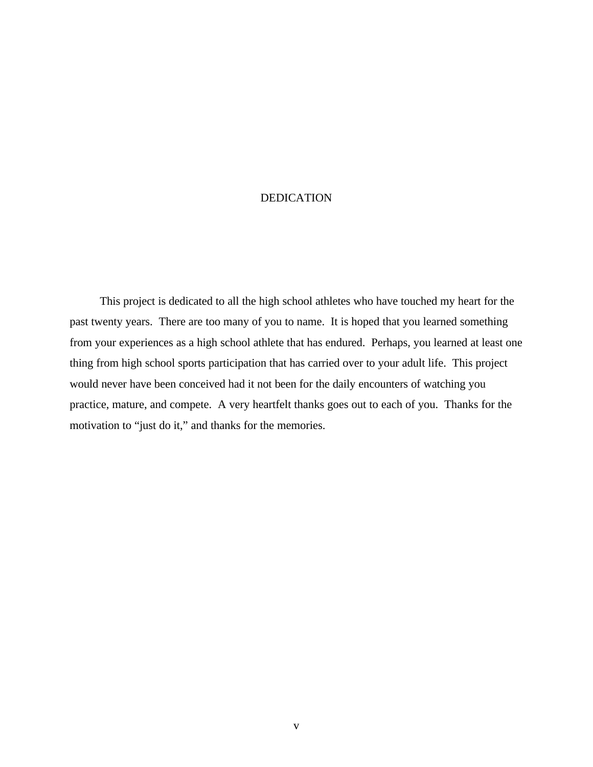#### DEDICATION

 This project is dedicated to all the high school athletes who have touched my heart for the past twenty years. There are too many of you to name. It is hoped that you learned something from your experiences as a high school athlete that has endured. Perhaps, you learned at least one thing from high school sports participation that has carried over to your adult life. This project would never have been conceived had it not been for the daily encounters of watching you practice, mature, and compete. A very heartfelt thanks goes out to each of you. Thanks for the motivation to "just do it," and thanks for the memories.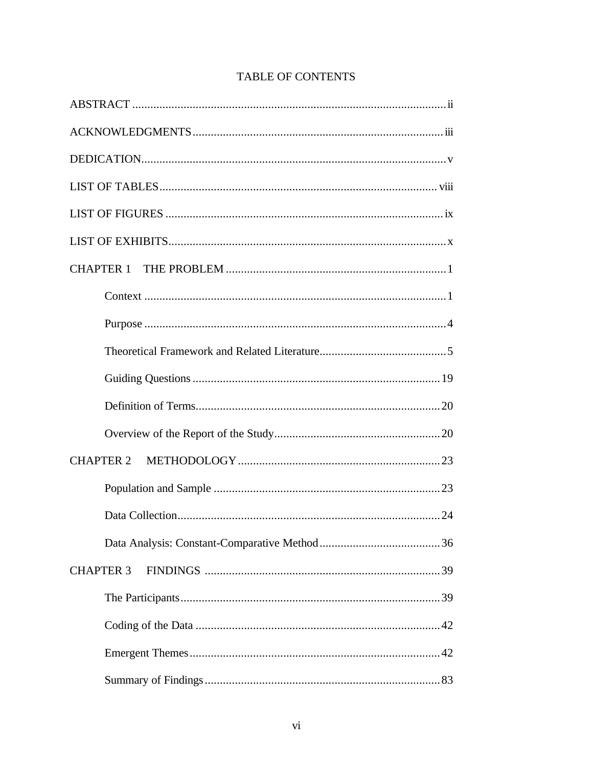| <b>CHAPTER 3</b> |
|------------------|
|                  |
|                  |
|                  |
|                  |

## TABLE OF CONTENTS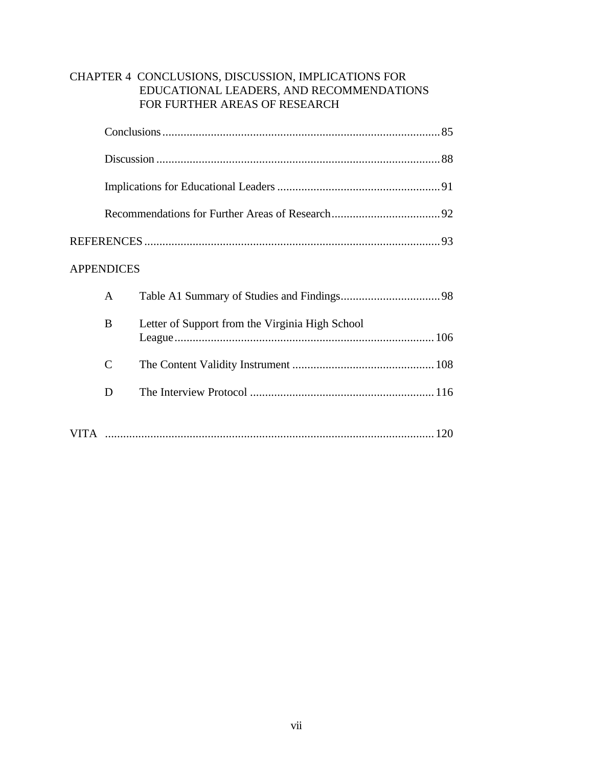#### CHAPTER 4 CONCLUSIONS, DISCUSSION, IMPLICATIONS FOR EDUCATIONAL LEADERS, AND RECOMMENDATIONS FOR FURTHER AREAS OF RESEARCH

| <b>APPENDICES</b> |               |                                                 |  |  |  |
|-------------------|---------------|-------------------------------------------------|--|--|--|
|                   | A             |                                                 |  |  |  |
|                   | B             | Letter of Support from the Virginia High School |  |  |  |
|                   | $\mathcal{C}$ |                                                 |  |  |  |
|                   | D             |                                                 |  |  |  |
|                   |               |                                                 |  |  |  |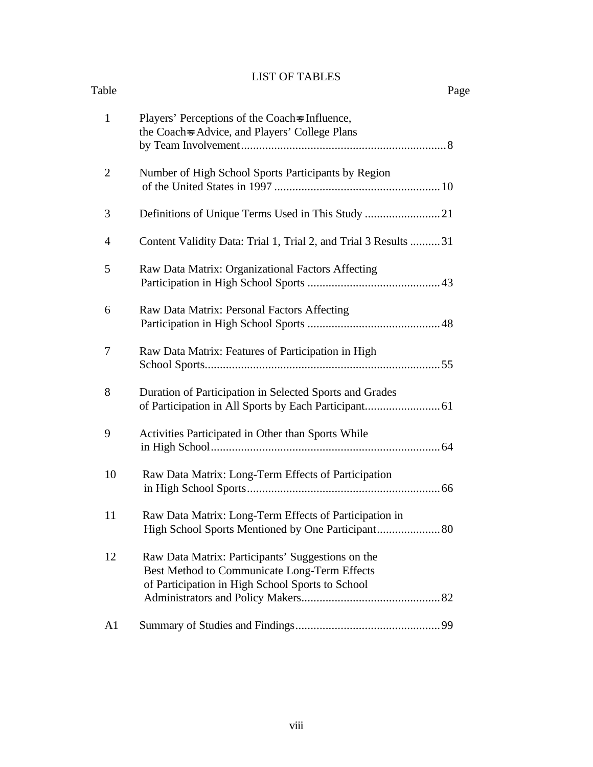### LIST OF TABLES

| Table          |                                                                                                                                                       | Page |
|----------------|-------------------------------------------------------------------------------------------------------------------------------------------------------|------|
| $\mathbf{1}$   | Players' Perceptions of the Coach is Influence,<br>the Coach-s Advice, and Players' College Plans                                                     |      |
| $\overline{2}$ | Number of High School Sports Participants by Region                                                                                                   |      |
| 3              |                                                                                                                                                       |      |
| $\overline{4}$ | Content Validity Data: Trial 1, Trial 2, and Trial 3 Results 31                                                                                       |      |
| 5              | Raw Data Matrix: Organizational Factors Affecting                                                                                                     |      |
| 6              | Raw Data Matrix: Personal Factors Affecting                                                                                                           |      |
| 7              | Raw Data Matrix: Features of Participation in High                                                                                                    |      |
| 8              | Duration of Participation in Selected Sports and Grades                                                                                               |      |
| 9              | Activities Participated in Other than Sports While                                                                                                    |      |
| 10             | Raw Data Matrix: Long-Term Effects of Participation                                                                                                   |      |
| 11             | Raw Data Matrix: Long-Term Effects of Participation in<br>High School Sports Mentioned by One Participant 80                                          |      |
| 12             | Raw Data Matrix: Participants' Suggestions on the<br>Best Method to Communicate Long-Term Effects<br>of Participation in High School Sports to School |      |
| A1             |                                                                                                                                                       |      |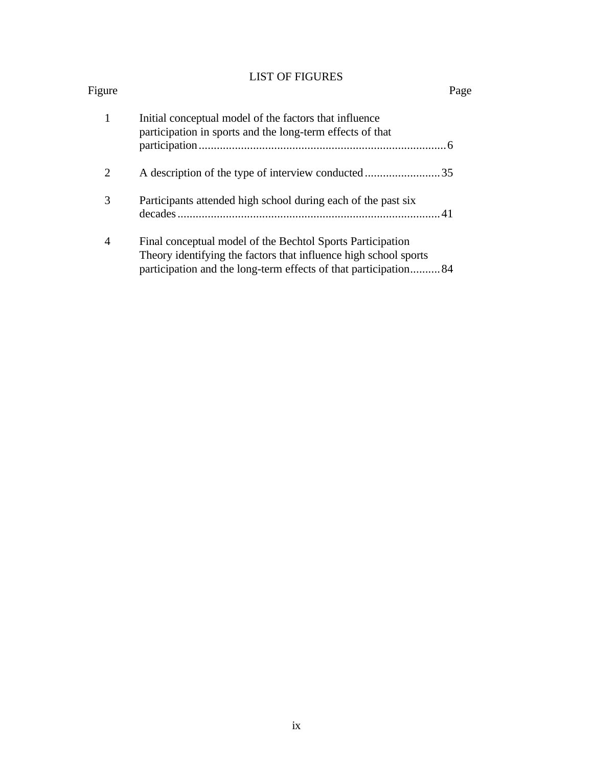## LIST OF FIGURES

| Figure         |                                                                                                                                                                                                   | Page |
|----------------|---------------------------------------------------------------------------------------------------------------------------------------------------------------------------------------------------|------|
| 1              | Initial conceptual model of the factors that influence<br>participation in sports and the long-term effects of that                                                                               |      |
|                |                                                                                                                                                                                                   |      |
| $\overline{2}$ | A description of the type of interview conducted35                                                                                                                                                |      |
| 3              | Participants attended high school during each of the past six                                                                                                                                     |      |
| 4              | Final conceptual model of the Bechtol Sports Participation<br>Theory identifying the factors that influence high school sports<br>participation and the long-term effects of that participation84 |      |